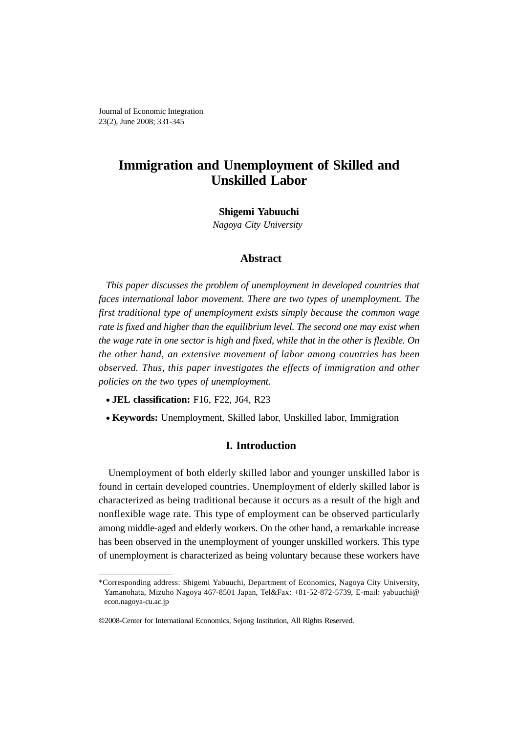Journal of Economic Integration 23(2), June 2008; 331-345

# **Immigration and Unemployment of Skilled and Unskilled Labor**

**Shigemi Yabuuchi**

*Nagoya City University* 

## **Abstract**

*This paper discusses the problem of unemployment in developed countries that faces international labor movement. There are two types of unemployment. The first traditional type of unemployment exists simply because the common wage rate is fixed and higher than the equilibrium level. The second one may exist when the wage rate in one sector is high and fixed, while that in the other is flexible. On the other hand, an extensive movement of labor among countries has been observed. Thus, this paper investigates the effects of immigration and other policies on the two types of unemployment.* 

- **JEL classification:** F16, F22, J64, R23
- **Keywords:** Unemployment, Skilled labor, Unskilled labor, Immigration

## **I. Introduction**

Unemployment of both elderly skilled labor and younger unskilled labor is found in certain developed countries. Unemployment of elderly skilled labor is characterized as being traditional because it occurs as a result of the high and nonflexible wage rate. This type of employment can be observed particularly among middle-aged and elderly workers. On the other hand, a remarkable increase has been observed in the unemployment of younger unskilled workers. This type of unemployment is characterized as being voluntary because these workers have

<sup>\*</sup>Corresponding address: Shigemi Yabuuchi, Department of Economics, Nagoya City University, Yamanohata, Mizuho Nagoya 467-8501 Japan, Tel&Fax: +81-52-872-5739, E-mail: yabuuchi@ econ.nagoya-cu.ac.jp

<sup>©</sup>2008-Center for International Economics, Sejong Institution, All Rights Reserved.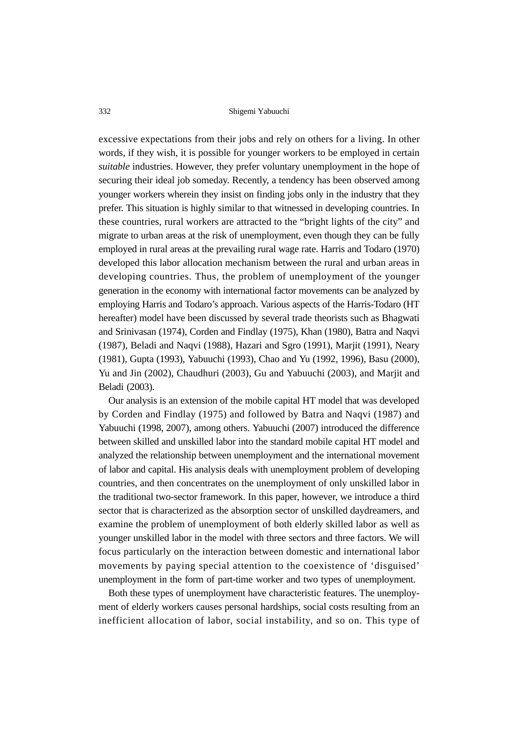excessive expectations from their jobs and rely on others for a living. In other words, if they wish, it is possible for younger workers to be employed in certain *suitable* industries. However, they prefer voluntary unemployment in the hope of securing their ideal job someday. Recently, a tendency has been observed among younger workers wherein they insist on finding jobs only in the industry that they prefer. This situation is highly similar to that witnessed in developing countries. In these countries, rural workers are attracted to the "bright lights of the city" and migrate to urban areas at the risk of unemployment, even though they can be fully employed in rural areas at the prevailing rural wage rate. Harris and Todaro (1970) developed this labor allocation mechanism between the rural and urban areas in developing countries. Thus, the problem of unemployment of the younger generation in the economy with international factor movements can be analyzed by employing Harris and Todaro's approach. Various aspects of the Harris-Todaro (HT hereafter) model have been discussed by several trade theorists such as Bhagwati and Srinivasan (1974), Corden and Findlay (1975), Khan (1980), Batra and Naqvi (1987), Beladi and Naqvi (1988), Hazari and Sgro (1991), Marjit (1991), Neary (1981), Gupta (1993), Yabuuchi (1993), Chao and Yu (1992, 1996), Basu (2000), Yu and Jin (2002), Chaudhuri (2003), Gu and Yabuuchi (2003), and Marjit and Beladi (2003).

Our analysis is an extension of the mobile capital HT model that was developed by Corden and Findlay (1975) and followed by Batra and Naqvi (1987) and Yabuuchi (1998, 2007), among others. Yabuuchi (2007) introduced the difference between skilled and unskilled labor into the standard mobile capital HT model and analyzed the relationship between unemployment and the international movement of labor and capital. His analysis deals with unemployment problem of developing countries, and then concentrates on the unemployment of only unskilled labor in the traditional two-sector framework. In this paper, however, we introduce a third sector that is characterized as the absorption sector of unskilled daydreamers, and examine the problem of unemployment of both elderly skilled labor as well as younger unskilled labor in the model with three sectors and three factors. We will focus particularly on the interaction between domestic and international labor movements by paying special attention to the coexistence of 'disguised' unemployment in the form of part-time worker and two types of unemployment.

Both these types of unemployment have characteristic features. The unemployment of elderly workers causes personal hardships, social costs resulting from an inefficient allocation of labor, social instability, and so on. This type of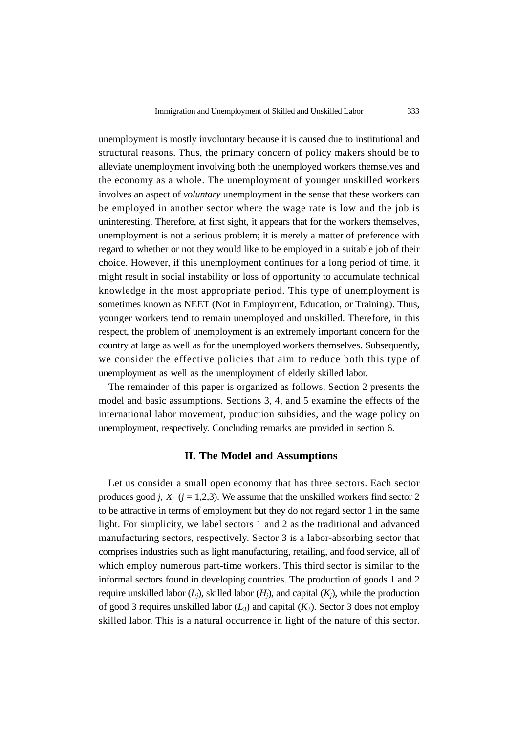unemployment is mostly involuntary because it is caused due to institutional and structural reasons. Thus, the primary concern of policy makers should be to alleviate unemployment involving both the unemployed workers themselves and the economy as a whole. The unemployment of younger unskilled workers involves an aspect of *voluntary* unemployment in the sense that these workers can be employed in another sector where the wage rate is low and the job is uninteresting. Therefore, at first sight, it appears that for the workers themselves, unemployment is not a serious problem; it is merely a matter of preference with regard to whether or not they would like to be employed in a suitable job of their choice. However, if this unemployment continues for a long period of time, it might result in social instability or loss of opportunity to accumulate technical knowledge in the most appropriate period. This type of unemployment is sometimes known as NEET (Not in Employment, Education, or Training). Thus, younger workers tend to remain unemployed and unskilled. Therefore, in this respect, the problem of unemployment is an extremely important concern for the country at large as well as for the unemployed workers themselves. Subsequently, we consider the effective policies that aim to reduce both this type of unemployment as well as the unemployment of elderly skilled labor.

The remainder of this paper is organized as follows. Section 2 presents the model and basic assumptions. Sections 3, 4, and 5 examine the effects of the international labor movement, production subsidies, and the wage policy on unemployment, respectively. Concluding remarks are provided in section 6.

## **II. The Model and Assumptions**

Let us consider a small open economy that has three sectors. Each sector produces good *j*,  $X_j$  ( $j = 1,2,3$ ). We assume that the unskilled workers find sector 2 to be attractive in terms of employment but they do not regard sector 1 in the same light. For simplicity, we label sectors 1 and 2 as the traditional and advanced manufacturing sectors, respectively. Sector 3 is a labor-absorbing sector that comprises industries such as light manufacturing, retailing, and food service, all of which employ numerous part-time workers. This third sector is similar to the informal sectors found in developing countries. The production of goods 1 and 2 require unskilled labor  $(L_i)$ , skilled labor  $(H_i)$ , and capital  $(K_i)$ , while the production of good 3 requires unskilled labor  $(L_3)$  and capital  $(K_3)$ . Sector 3 does not employ skilled labor. This is a natural occurrence in light of the nature of this sector.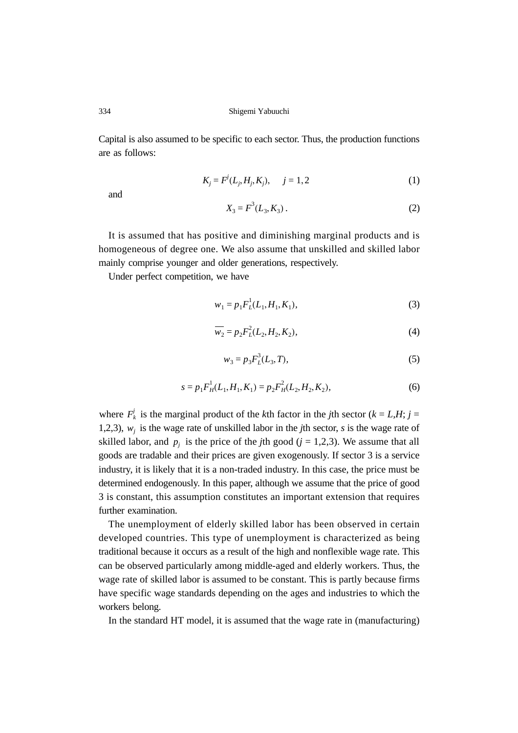Capital is also assumed to be specific to each sector. Thus, the production functions are as follows:

$$
K_j = F'(L_j, H_j, K_j), \quad j = 1, 2
$$
 (1)

and

$$
X_3 = F^3(L_3, K_3). \tag{2}
$$

It is assumed that has positive and diminishing marginal products and is homogeneous of degree one. We also assume that unskilled and skilled labor mainly comprise younger and older generations, respectively.

Under perfect competition, we have

$$
w_1 = p_1 F_L^1(L_1, H_1, K_1), \tag{3}
$$

$$
\overline{w_2} = p_2 F_L^2(L_2, H_2, K_2),\tag{4}
$$

$$
w_3 = p_3 F_L^3(L_3, T), \tag{5}
$$

$$
s = p_1 F_H^1(L_1, H_1, K_1) = p_2 F_H^2(L_2, H_2, K_2),
$$
\n(6)

where  $F_k^j$  is the marginal product of the *k*th factor in the *j*th sector ( $k = L, H; j =$ 1,2,3),  $w_j$  is the wage rate of unskilled labor in the *j*th sector, *s* is the wage rate of skilled labor, and  $p_j$  is the price of the *j*th good ( $j = 1,2,3$ ). We assume that all goods are tradable and their prices are given exogenously. If sector 3 is a service industry, it is likely that it is a non-traded industry. In this case, the price must be determined endogenously. In this paper, although we assume that the price of good 3 is constant, this assumption constitutes an important extension that requires further examination.

The unemployment of elderly skilled labor has been observed in certain developed countries. This type of unemployment is characterized as being traditional because it occurs as a result of the high and nonflexible wage rate. This can be observed particularly among middle-aged and elderly workers. Thus, the wage rate of skilled labor is assumed to be constant. This is partly because firms have specific wage standards depending on the ages and industries to which the workers belong.

In the standard HT model, it is assumed that the wage rate in (manufacturing)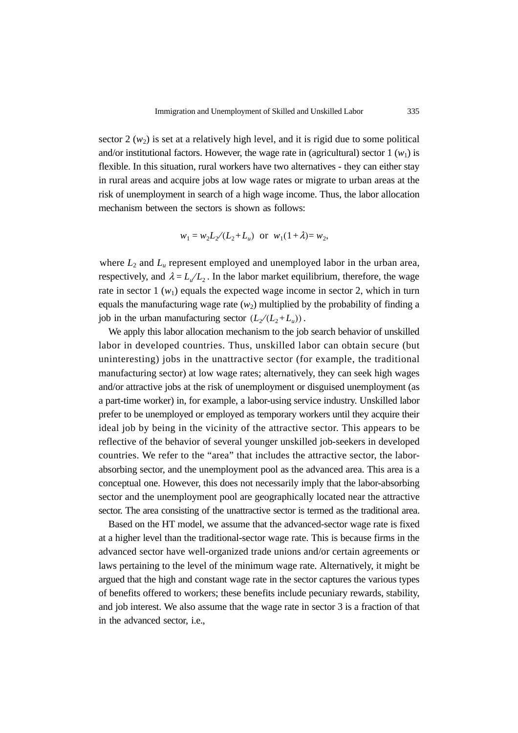sector  $2(w_2)$  is set at a relatively high level, and it is rigid due to some political and/or institutional factors. However, the wage rate in (agricultural) sector  $1(w_1)$  is flexible. In this situation, rural workers have two alternatives - they can either stay in rural areas and acquire jobs at low wage rates or migrate to urban areas at the risk of unemployment in search of a high wage income. Thus, the labor allocation mechanism between the sectors is shown as follows:

$$
w_1 = w_2 L_2 / (L_2 + L_u)
$$
 or  $w_1 (1 + \lambda) = w_2$ ,

where  $L_2$  and  $L_u$  represent employed and unemployed labor in the urban area, respectively, and  $\lambda = L_u/L_2$ . In the labor market equilibrium, therefore, the wage rate in sector  $1(w_1)$  equals the expected wage income in sector 2, which in turn equals the manufacturing wage rate  $(w_2)$  multiplied by the probability of finding a job in the urban manufacturing sector  $(L_2 / (L_2 + L_u))$ .

We apply this labor allocation mechanism to the job search behavior of unskilled labor in developed countries. Thus, unskilled labor can obtain secure (but uninteresting) jobs in the unattractive sector (for example, the traditional manufacturing sector) at low wage rates; alternatively, they can seek high wages and/or attractive jobs at the risk of unemployment or disguised unemployment (as a part-time worker) in, for example, a labor-using service industry. Unskilled labor prefer to be unemployed or employed as temporary workers until they acquire their ideal job by being in the vicinity of the attractive sector. This appears to be reflective of the behavior of several younger unskilled job-seekers in developed countries. We refer to the "area" that includes the attractive sector, the laborabsorbing sector, and the unemployment pool as the advanced area. This area is a conceptual one. However, this does not necessarily imply that the labor-absorbing sector and the unemployment pool are geographically located near the attractive sector. The area consisting of the unattractive sector is termed as the traditional area.

Based on the HT model, we assume that the advanced-sector wage rate is fixed at a higher level than the traditional-sector wage rate. This is because firms in the advanced sector have well-organized trade unions and/or certain agreements or laws pertaining to the level of the minimum wage rate. Alternatively, it might be argued that the high and constant wage rate in the sector captures the various types of benefits offered to workers; these benefits include pecuniary rewards, stability, and job interest. We also assume that the wage rate in sector 3 is a fraction of that in the advanced sector, i.e.,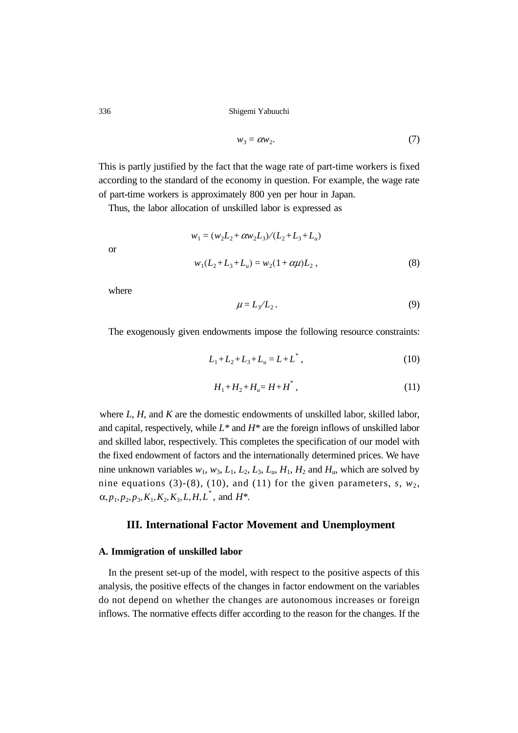$$
w_3 = \alpha w_2. \tag{7}
$$

This is partly justified by the fact that the wage rate of part-time workers is fixed according to the standard of the economy in question. For example, the wage rate of part-time workers is approximately 800 yen per hour in Japan.

Thus, the labor allocation of unskilled labor is expressed as

$$
w_1 = (w_2L_2 + \alpha w_2L_3)/(L_2 + L_3 + L_u)
$$
  

$$
w_1(L_2 + L_3 + L_u) = w_2(1 + \alpha \mu)L_2,
$$
 (8)

where

or

$$
\mu = L_3 / L_2. \tag{9}
$$

The exogenously given endowments impose the following resource constraints:

$$
L_1 + L_2 + L_3 + L_u = L + L^*,\tag{10}
$$

$$
H_1 + H_2 + H_u = H + H^*,\tag{11}
$$

where *L*, *H*, and *K* are the domestic endowments of unskilled labor, skilled labor, and capital, respectively, while *L\** and *H\** are the foreign inflows of unskilled labor and skilled labor, respectively. This completes the specification of our model with the fixed endowment of factors and the internationally determined prices. We have nine unknown variables  $w_1$ ,  $w_3$ ,  $L_1$ ,  $L_2$ ,  $L_3$ ,  $L_u$ ,  $H_1$ ,  $H_2$  and  $H_u$ , which are solved by nine equations (3)-(8), (10), and (11) for the given parameters,  $s, w_2$ ,  $\alpha, p_1, p_2, p_3, K_1, K_2, K_3, L, H, L^*$ , and  $H^*$ .

## **III. International Factor Movement and Unemployment**

#### **A. Immigration of unskilled labor**

In the present set-up of the model, with respect to the positive aspects of this analysis, the positive effects of the changes in factor endowment on the variables do not depend on whether the changes are autonomous increases or foreign inflows. The normative effects differ according to the reason for the changes. If the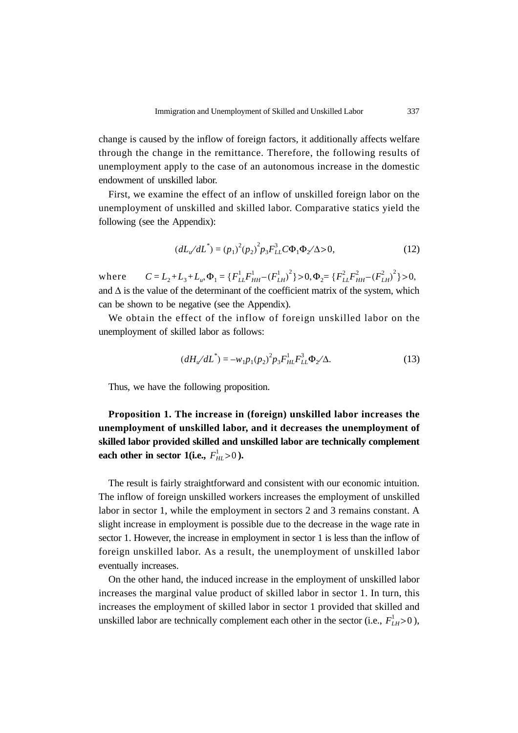change is caused by the inflow of foreign factors, it additionally affects welfare through the change in the remittance. Therefore, the following results of unemployment apply to the case of an autonomous increase in the domestic endowment of unskilled labor.

First, we examine the effect of an inflow of unskilled foreign labor on the unemployment of unskilled and skilled labor. Comparative statics yield the following (see the Appendix):

$$
(dL_{u}/dL^{*}) = (p_{1})^{2} (p_{2})^{2} p_{3} F_{LL}^{3} C \Phi_{1} \Phi_{2} / \Delta > 0,
$$
\n(12)

where and  $\Delta$  is the value of the determinant of the coefficient matrix of the system, which can be shown to be negative (see the Appendix).  $C = L_2 + L_3 + L_u, \Phi_1 = \left\{ F_{LL}^1 F_{HH}^1 - (F_{LH}^1)^2 \right\} > 0, \Phi_2 = \left\{ F_{LL}^2 F_{HH}^2 - (F_{LH}^2)^2 \right\} > 0,$ 

We obtain the effect of the inflow of foreign unskilled labor on the unemployment of skilled labor as follows:

$$
(dH_{u}/dL^{*}) = -w_{1}p_{1}(p_{2})^{2}p_{3}F_{HL}^{1}F_{LL}^{3}\Phi_{2}/\Delta.
$$
 (13)

Thus, we have the following proposition.

**Proposition 1. The increase in (foreign) unskilled labor increases the unemployment of unskilled labor, and it decreases the unemployment of skilled labor provided skilled and unskilled labor are technically complement** each other in sector 1(i.e.,  $F_{HL}^1 > 0$  ).

The result is fairly straightforward and consistent with our economic intuition. The inflow of foreign unskilled workers increases the employment of unskilled labor in sector 1, while the employment in sectors 2 and 3 remains constant. A slight increase in employment is possible due to the decrease in the wage rate in sector 1. However, the increase in employment in sector 1 is less than the inflow of foreign unskilled labor. As a result, the unemployment of unskilled labor eventually increases.

On the other hand, the induced increase in the employment of unskilled labor increases the marginal value product of skilled labor in sector 1. In turn, this increases the employment of skilled labor in sector 1 provided that skilled and unskilled labor are technically complement each other in the sector (i.e.,  $F_{LH}^1 > 0$ ),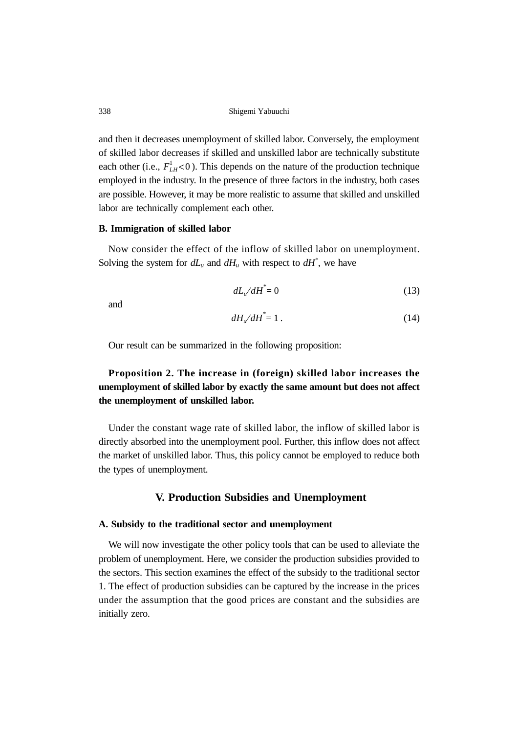and then it decreases unemployment of skilled labor. Conversely, the employment of skilled labor decreases if skilled and unskilled labor are technically substitute each other (i.e.,  $F_{LH}^1$  < 0). This depends on the nature of the production technique employed in the industry. In the presence of three factors in the industry, both cases are possible. However, it may be more realistic to assume that skilled and unskilled labor are technically complement each other.

#### **B. Immigration of skilled labor**

Now consider the effect of the inflow of skilled labor on unemployment. Solving the system for  $dL_u$  and  $dH_u$  with respect to  $dH^*$ , we have

$$
dL_{u}/dH^* = 0 \tag{13}
$$

and

$$
dH_{\nu}/dH^* = 1. \tag{14}
$$

Our result can be summarized in the following proposition:

## **Proposition 2. The increase in (foreign) skilled labor increases the unemployment of skilled labor by exactly the same amount but does not affect the unemployment of unskilled labor.**

Under the constant wage rate of skilled labor, the inflow of skilled labor is directly absorbed into the unemployment pool. Further, this inflow does not affect the market of unskilled labor. Thus, this policy cannot be employed to reduce both the types of unemployment.

## **V. Production Subsidies and Unemployment**

#### **A. Subsidy to the traditional sector and unemployment**

We will now investigate the other policy tools that can be used to alleviate the problem of unemployment. Here, we consider the production subsidies provided to the sectors. This section examines the effect of the subsidy to the traditional sector 1. The effect of production subsidies can be captured by the increase in the prices under the assumption that the good prices are constant and the subsidies are initially zero.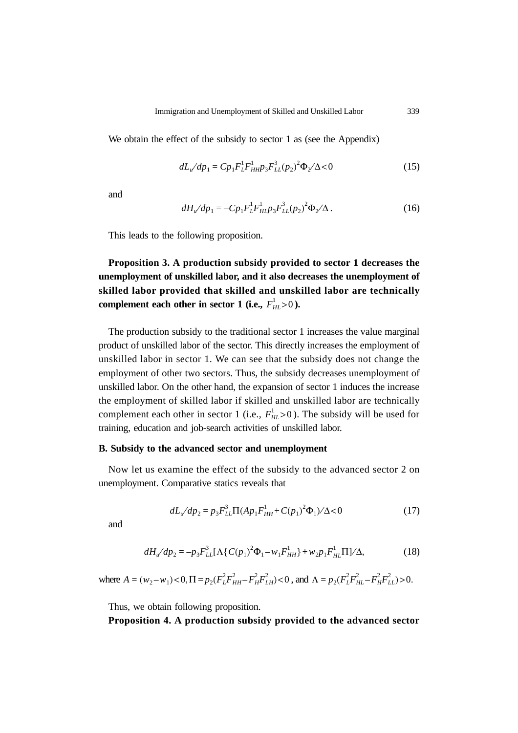We obtain the effect of the subsidy to sector 1 as (see the Appendix)

$$
dL_{u}/dp_{1} = Cp_{1}F_{L}^{1}F_{HH}^{1}p_{3}F_{LL}^{3}(p_{2})^{2}\Phi_{2}/\Delta < 0
$$
\n(15)

and

$$
dH_{u}/dp_{1} = -Cp_{1}F_{L}^{1}F_{HI}^{1}p_{3}F_{LL}^{3}(p_{2})^{2}\Phi_{2}/\Delta.
$$
 (16)

This leads to the following proposition.

**Proposition 3. A production subsidy provided to sector 1 decreases the unemployment of unskilled labor, and it also decreases the unemployment of skilled labor provided that skilled and unskilled labor are technically** complement each other in sector 1 (i.e.,  $F_{HL}^1 > 0$  ).

The production subsidy to the traditional sector 1 increases the value marginal product of unskilled labor of the sector. This directly increases the employment of unskilled labor in sector 1. We can see that the subsidy does not change the employment of other two sectors. Thus, the subsidy decreases unemployment of unskilled labor. On the other hand, the expansion of sector 1 induces the increase the employment of skilled labor if skilled and unskilled labor are technically complement each other in sector 1 (i.e.,  $F_{HL}^1 > 0$ ). The subsidy will be used for training, education and job-search activities of unskilled labor.

#### **B. Subsidy to the advanced sector and unemployment**

Now let us examine the effect of the subsidy to the advanced sector 2 on unemployment. Comparative statics reveals that

$$
dL_{u}/dp_{2} = p_{3}F_{LL}^{3}\Pi(Ap_{1}F_{HH}^{1} + C(p_{1})^{2}\Phi_{1})/\Delta < 0
$$
\n(17)

and

$$
dH_{u}/dp_{2} = -p_{3}F_{LL}^{3}[\Lambda\{C(p_{1})^{2}\Phi_{1} - w_{1}F_{HH}^{1}\} + w_{2}p_{1}F_{HL}^{1}\Pi]/\Delta,
$$
\n(18)

where  $A = (w_2 - w_1) < 0$ ,  $\Pi = p_2 (F_L^2 F_{HH}^2 - F_H^2 F_{LH}^2) < 0$ , and  $\Lambda = p_2 (F_L^2 F_{HL}^2 - F_H^2 F_{LL}^2) > 0$ .

Thus, we obtain following proposition.

## **Proposition 4. A production subsidy provided to the advanced sector**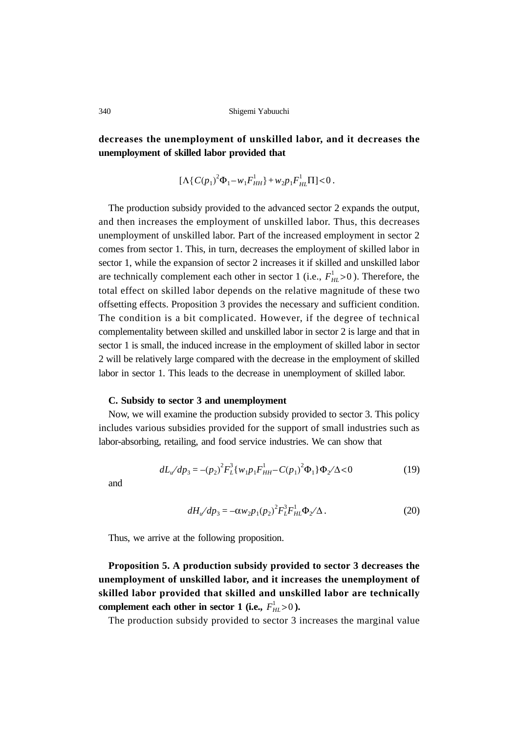**decreases the unemployment of unskilled labor, and it decreases the unemployment of skilled labor provided that**

$$
[\Lambda \{C(p_1)^2 \Phi_1 - w_1 F_{HH}^1\} + w_2 p_1 F_{HL}^1 \Pi] < 0.
$$

The production subsidy provided to the advanced sector 2 expands the output, and then increases the employment of unskilled labor. Thus, this decreases unemployment of unskilled labor. Part of the increased employment in sector 2 comes from sector 1. This, in turn, decreases the employment of skilled labor in sector 1, while the expansion of sector 2 increases it if skilled and unskilled labor are technically complement each other in sector 1 (i.e.,  $F_{HL}^1 > 0$ ). Therefore, the total effect on skilled labor depends on the relative magnitude of these two offsetting effects. Proposition 3 provides the necessary and sufficient condition. The condition is a bit complicated. However, if the degree of technical complementality between skilled and unskilled labor in sector 2 is large and that in sector 1 is small, the induced increase in the employment of skilled labor in sector 2 will be relatively large compared with the decrease in the employment of skilled labor in sector 1. This leads to the decrease in unemployment of skilled labor.

#### **C. Subsidy to sector 3 and unemployment**

Now, we will examine the production subsidy provided to sector 3. This policy includes various subsidies provided for the support of small industries such as labor-absorbing, retailing, and food service industries. We can show that

$$
dL_{u}/dp_{3} = -(p_{2})^{2}F_{L}^{3}\{w_{1}p_{1}F_{HH}^{1} - C(p_{1})^{2}\Phi_{1}\}\Phi_{2}/\Delta < 0
$$
\n(19)

and

$$
dH_{u}/dp_{3} = -\alpha w_{2}p_{1}(p_{2})^{2}F_{L}^{3}F_{HL}^{1}\Phi_{2}/\Delta.
$$
 (20)

Thus, we arrive at the following proposition.

**Proposition 5. A production subsidy provided to sector 3 decreases the unemployment of unskilled labor, and it increases the unemployment of skilled labor provided that skilled and unskilled labor are technically** complement each other in sector 1 (i.e.,  $F_{HL}^1 > 0$  ).

The production subsidy provided to sector 3 increases the marginal value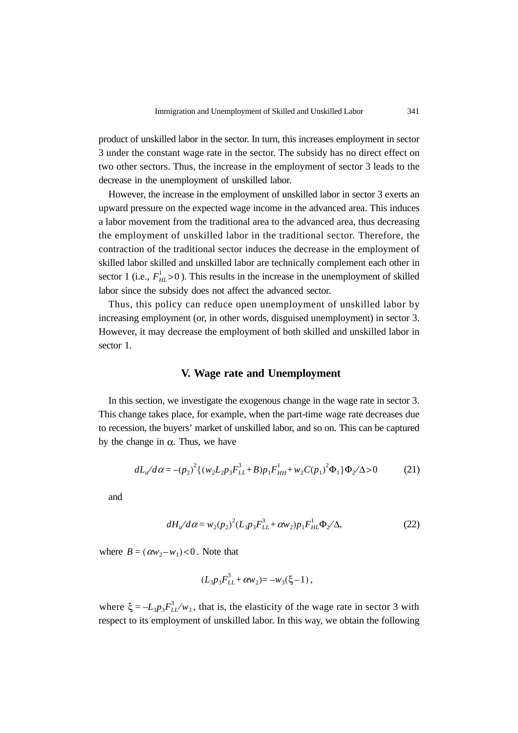product of unskilled labor in the sector. In turn, this increases employment in sector 3 under the constant wage rate in the sector. The subsidy has no direct effect on two other sectors. Thus, the increase in the employment of sector 3 leads to the decrease in the unemployment of unskilled labor.

However, the increase in the employment of unskilled labor in sector 3 exerts an upward pressure on the expected wage income in the advanced area. This induces a labor movement from the traditional area to the advanced area, thus decreasing the employment of unskilled labor in the traditional sector. Therefore, the contraction of the traditional sector induces the decrease in the employment of skilled labor skilled and unskilled labor are technically complement each other in sector 1 (i.e.,  $F_{HL}^1 > 0$ ). This results in the increase in the unemployment of skilled labor since the subsidy does not affect the advanced sector.

Thus, this policy can reduce open unemployment of unskilled labor by increasing employment (or, in other words, disguised unemployment) in sector 3. However, it may decrease the employment of both skilled and unskilled labor in sector 1.

## **V. Wage rate and Unemployment**

In this section, we investigate the exogenous change in the wage rate in sector 3. This change takes place, for example, when the part-time wage rate decreases due to recession, the buyers' market of unskilled labor, and so on. This can be captured by the change in  $α$ . Thus, we have

$$
dL_u/d\alpha = -(p_2)^2 \{ (w_2 L_2 p_3 F_{LL}^3 + B) p_1 F_{HH}^1 + w_2 C(p_1)^2 \Phi_1 \} \Phi_2 / \Delta > 0 \tag{21}
$$

and

$$
dH_{u}/d\alpha = w_{2}(p_{2})^{2}(L_{3}p_{3}F_{LL}^{3} + \alpha w_{2})p_{1}F_{HL}^{1}\Phi_{2}/\Delta,
$$
\n(22)

where  $B = (\alpha w_2 - w_1) < 0$ . Note that

$$
(L_3 p_3 F_{LL}^3 + \alpha w_2) = -w_3(\xi - 1) ,
$$

where  $\xi = -L_3 p_3 F_{LL}^3 / w_3$ , that is, the elasticity of the wage rate in sector 3 with respect to its employment of unskilled labor. In this way, we obtain the following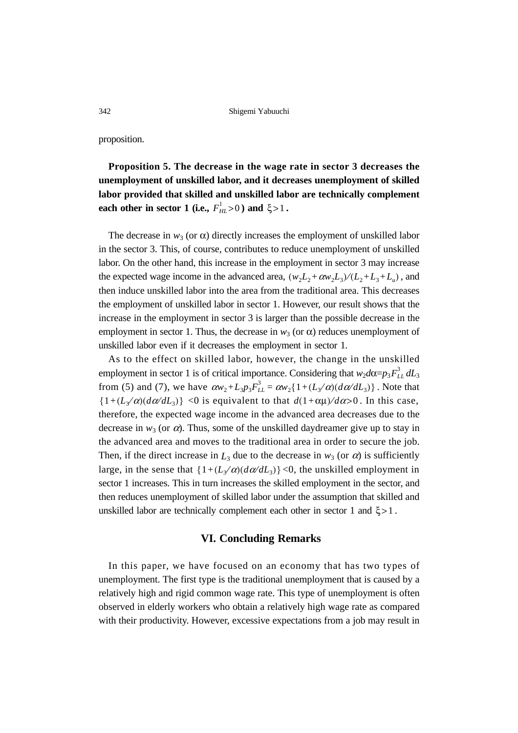proposition.

**Proposition 5. The decrease in the wage rate in sector 3 decreases the unemployment of unskilled labor, and it decreases unemployment of skilled labor provided that skilled and unskilled labor are technically complement each other in sector 1 (i.e.,**  $F_{HL}^1 > 0$  ) and  $\xi > 1$ .

The decrease in  $w_3$  (or  $\alpha$ ) directly increases the employment of unskilled labor in the sector 3. This, of course, contributes to reduce unemployment of unskilled labor. On the other hand, this increase in the employment in sector 3 may increase the expected wage income in the advanced area,  $(w_2L_2 + \alpha w_2L_3)/(L_2 + L_3 + L_u)$ , and then induce unskilled labor into the area from the traditional area. This decreases the employment of unskilled labor in sector 1. However, our result shows that the increase in the employment in sector 3 is larger than the possible decrease in the employment in sector 1. Thus, the decrease in  $w_3$  (or  $\alpha$ ) reduces unemployment of unskilled labor even if it decreases the employment in sector 1.

As to the effect on skilled labor, however, the change in the unskilled employment in sector 1 is of critical importance. Considering that  $w_2d\alpha = p_3 F_{LL}^3 dL_3$ from (5) and (7), we have  $\alpha w_2 + L_3 p_3 F_{LL}^3 = \alpha w_2 \{1 + (L_3/\alpha)(d\alpha/dL_3)\}\.$  Note that  $\{1+(L\sqrt{\alpha})(d\alpha/dL_3)\}$  < 0 is equivalent to that  $d(1+\alpha\mu)/d\alpha>0$ . In this case, therefore, the expected wage income in the advanced area decreases due to the decrease in  $w_3$  (or  $\alpha$ ). Thus, some of the unskilled daydreamer give up to stay in the advanced area and moves to the traditional area in order to secure the job. Then, if the direct increase in  $L_3$  due to the decrease in  $w_3$  (or  $\alpha$ ) is sufficiently large, in the sense that  $\{1+(L_x/\alpha)(d\alpha/dL_3)\}$  <0, the unskilled employment in sector 1 increases. This in turn increases the skilled employment in the sector, and then reduces unemployment of skilled labor under the assumption that skilled and unskilled labor are technically complement each other in sector 1 and  $\xi > 1$ .

## **VI. Concluding Remarks**

In this paper, we have focused on an economy that has two types of unemployment. The first type is the traditional unemployment that is caused by a relatively high and rigid common wage rate. This type of unemployment is often observed in elderly workers who obtain a relatively high wage rate as compared with their productivity. However, excessive expectations from a job may result in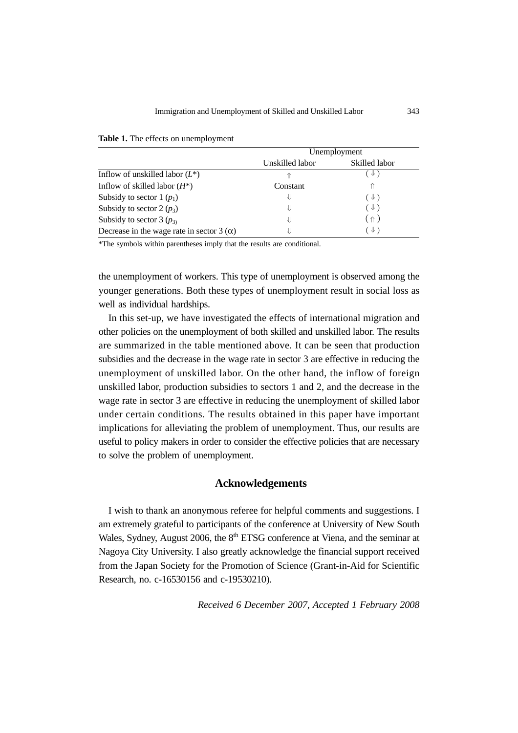|                                                  | Unemployment    |                |
|--------------------------------------------------|-----------------|----------------|
|                                                  | Unskilled labor | Skilled labor  |
| Inflow of unskilled labor $(L^*)$                |                 | $\downarrow$ ) |
| Inflow of skilled labor $(H^*)$                  | Constant        | 11             |
| Subsidy to sector 1 $(p_1)$                      | ⇓               | $(\Downarrow)$ |
| Subsidy to sector 2 $(p_3)$                      | ⇓               | $(\Downarrow)$ |
| Subsidy to sector 3 $(p_3)$                      | ⇓               | ( 介 )          |
| Decrease in the wage rate in sector 3 $(\alpha)$ | ⇓               | $(\Downarrow)$ |

**Table 1.** The effects on unemployment

\*The symbols within parentheses imply that the results are conditional.

the unemployment of workers. This type of unemployment is observed among the younger generations. Both these types of unemployment result in social loss as well as individual hardships.

In this set-up, we have investigated the effects of international migration and other policies on the unemployment of both skilled and unskilled labor. The results are summarized in the table mentioned above. It can be seen that production subsidies and the decrease in the wage rate in sector 3 are effective in reducing the unemployment of unskilled labor. On the other hand, the inflow of foreign unskilled labor, production subsidies to sectors 1 and 2, and the decrease in the wage rate in sector 3 are effective in reducing the unemployment of skilled labor under certain conditions. The results obtained in this paper have important implications for alleviating the problem of unemployment. Thus, our results are useful to policy makers in order to consider the effective policies that are necessary to solve the problem of unemployment.

## **Acknowledgements**

I wish to thank an anonymous referee for helpful comments and suggestions. I am extremely grateful to participants of the conference at University of New South Wales, Sydney, August 2006, the  $8<sup>th</sup> ETSG$  conference at Viena, and the seminar at Nagoya City University. I also greatly acknowledge the financial support received from the Japan Society for the Promotion of Science (Grant-in-Aid for Scientific Research, no. c-16530156 and c-19530210).

*Received 6 December 2007, Accepted 1 February 2008*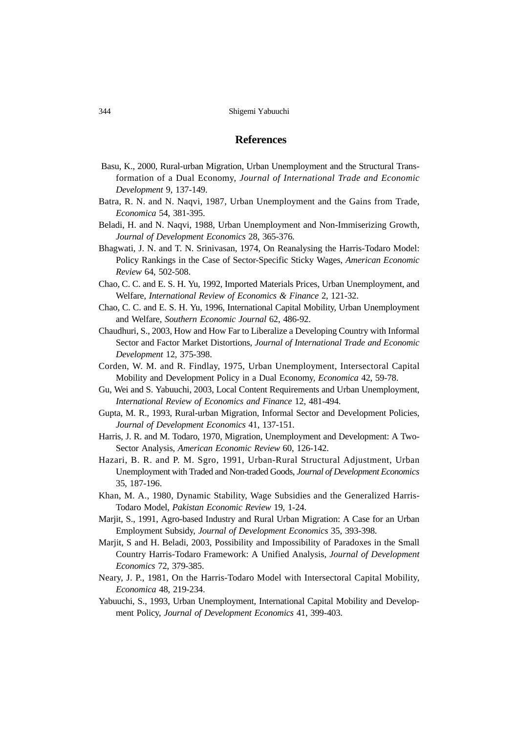## **References**

- Basu, K., 2000, Rural-urban Migration, Urban Unemployment and the Structural Transformation of a Dual Economy, *Journal of International Trade and Economic Development* 9, 137-149.
- Batra, R. N. and N. Naqvi, 1987, Urban Unemployment and the Gains from Trade, *Economica* 54, 381-395.
- Beladi, H. and N. Naqvi, 1988, Urban Unemployment and Non-Immiserizing Growth, *Journal of Development Economics* 28, 365-376.
- Bhagwati, J. N. and T. N. Srinivasan, 1974, On Reanalysing the Harris-Todaro Model: Policy Rankings in the Case of Sector-Specific Sticky Wages, *American Economic Review* 64, 502-508.
- Chao, C. C. and E. S. H. Yu, 1992, Imported Materials Prices, Urban Unemployment, and Welfare, *International Review of Economics & Finance* 2, 121-32.
- Chao, C. C. and E. S. H. Yu, 1996, International Capital Mobility, Urban Unemployment and Welfare, *Southern Economic Journal* 62, 486-92.
- Chaudhuri, S., 2003, How and How Far to Liberalize a Developing Country with Informal Sector and Factor Market Distortions, *Journal of International Trade and Economic Development* 12, 375-398.
- Corden, W. M. and R. Findlay, 1975, Urban Unemployment, Intersectoral Capital Mobility and Development Policy in a Dual Economy, *Economica* 42, 59-78.
- Gu, Wei and S. Yabuuchi, 2003, Local Content Requirements and Urban Unemployment, *International Review of Economics and Finance* 12, 481-494.
- Gupta, M. R., 1993, Rural-urban Migration, Informal Sector and Development Policies, *Journal of Development Economics* 41, 137-151.
- Harris, J. R. and M. Todaro, 1970, Migration, Unemployment and Development: A Two-Sector Analysis, *American Economic Review* 60, 126-142.
- Hazari, B. R. and P. M. Sgro, 1991, Urban-Rural Structural Adjustment, Urban Unemployment with Traded and Non-traded Goods, *Journal of Development Economics* 35, 187-196.
- Khan, M. A., 1980, Dynamic Stability, Wage Subsidies and the Generalized Harris-Todaro Model, *Pakistan Economic Review* 19, 1-24.
- Marjit, S., 1991, Agro-based Industry and Rural Urban Migration: A Case for an Urban Employment Subsidy, *Journal of Development Economics* 35, 393-398.
- Marjit, S and H. Beladi, 2003, Possibility and Impossibility of Paradoxes in the Small Country Harris-Todaro Framework: A Unified Analysis, *Journal of Development Economics* 72, 379-385.
- Neary, J. P., 1981, On the Harris-Todaro Model with Intersectoral Capital Mobility, *Economica* 48, 219-234.
- Yabuuchi, S., 1993, Urban Unemployment, International Capital Mobility and Development Policy, *Journal of Development Economics* 41, 399-403.